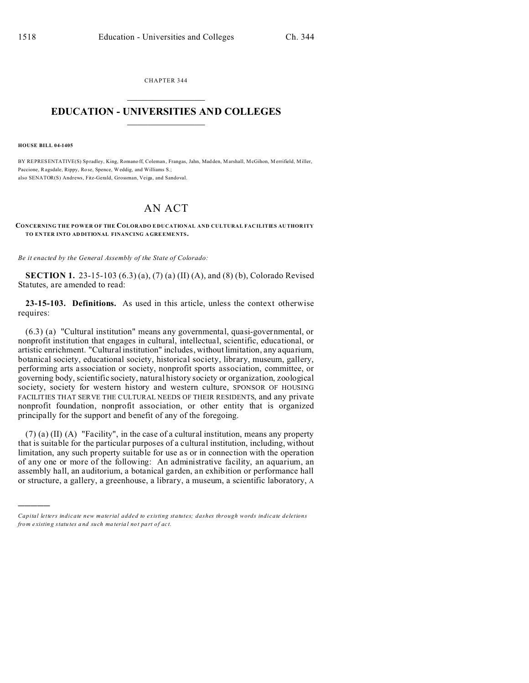CHAPTER 344  $\overline{\phantom{a}}$  , where  $\overline{\phantom{a}}$ 

## **EDUCATION - UNIVERSITIES AND COLLEGES**  $\frac{1}{2}$

**HOUSE BILL 04-1405**

)))))

BY REPRESENTATIVE(S) Spradley, King, Romano ff, Coleman, Frangas, Jahn, Mad den, Marshall, McGihon, Merrifield, Miller, Paccione, Ragsdale, Rippy, Rose, Spence, Weddig, and Williams S.; also SENATOR(S) Andrews, Fitz-Gerald, Grossman, Veiga, and Sandoval.

## AN ACT

## **CONCERNING THE POWER OF THE COLORADO E DUCATIONAL AND CULTURAL FAC ILITIES AU THOR ITY TO EN TER INTO ADDITIONAL FINANCING A GREEME NTS.**

*Be it enacted by the General Assembly of the State of Colorado:*

**SECTION 1.** 23-15-103 (6.3) (a), (7) (a) (II) (A), and (8) (b), Colorado Revised Statutes, are amended to read:

**23-15-103. Definitions.** As used in this article, unless the context otherwise requires:

(6.3) (a) "Cultural institution" means any governmental, quasi-governmental, or nonprofit institution that engages in cultural, intellectual, scientific, educational, or artistic enrichment. "Cultural institution" includes, without limitation, any aquarium, botanical society, educational society, historical society, library, museum, gallery, performing arts association or society, nonprofit sports association, committee, or governing body, scientific society, natural history society or organization, zoological society, society for western history and western culture, SPONSOR OF HOUSING FACILITIES THAT SERVE THE CULTURAL NEEDS OF THEIR RESIDENTS, and any private nonprofit foundation, nonprofit association, or other entity that is organized principally for the support and benefit of any of the foregoing.

(7) (a) (II) (A) "Facility", in the case of a cultural institution, means any property that is suitable for the particular purposes of a cultural institution, including, without limitation, any such property suitable for use as or in connection with the operation of any one or more of the following: An administrative facility, an aquarium, an assembly hall, an auditorium, a botanical garden, an exhibition or performance hall or structure, a gallery, a greenhouse, a library, a museum, a scientific laboratory, A

*Capital letters indicate new material added to existing statutes; dashes through words indicate deletions from e xistin g statu tes a nd such ma teria l no t pa rt of ac t.*